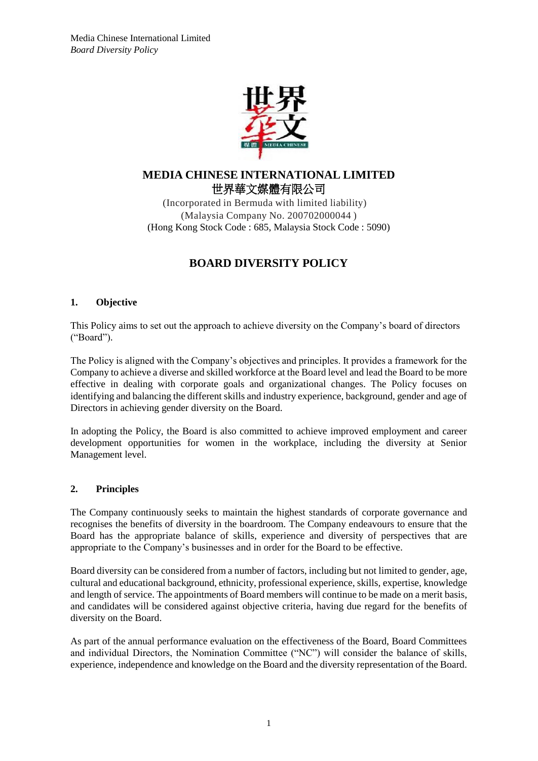

# **MEDIA CHINESE INTERNATIONAL LIMITED** 世界華文媒體有限公司

(Incorporated in Bermuda with limited liability) (Malaysia Company No. 200702000044 ) (Hong Kong Stock Code : 685, Malaysia Stock Code : 5090)

# **BOARD DIVERSITY POLICY**

### **1. Objective**

This Policy aims to set out the approach to achieve diversity on the Company's board of directors ("Board").

The Policy is aligned with the Company's objectives and principles. It provides a framework for the Company to achieve a diverse and skilled workforce at the Board level and lead the Board to be more effective in dealing with corporate goals and organizational changes. The Policy focuses on identifying and balancing the different skills and industry experience, background, gender and age of Directors in achieving gender diversity on the Board.

In adopting the Policy, the Board is also committed to achieve improved employment and career development opportunities for women in the workplace, including the diversity at Senior Management level.

#### **2. Principles**

The Company continuously seeks to maintain the highest standards of corporate governance and recognises the benefits of diversity in the boardroom. The Company endeavours to ensure that the Board has the appropriate balance of skills, experience and diversity of perspectives that are appropriate to the Company's businesses and in order for the Board to be effective.

Board diversity can be considered from a number of factors, including but not limited to gender, age, cultural and educational background, ethnicity, professional experience, skills, expertise, knowledge and length of service. The appointments of Board members will continue to be made on a merit basis, and candidates will be considered against objective criteria, having due regard for the benefits of diversity on the Board.

As part of the annual performance evaluation on the effectiveness of the Board, Board Committees and individual Directors, the Nomination Committee ("NC") will consider the balance of skills, experience, independence and knowledge on the Board and the diversity representation of the Board.